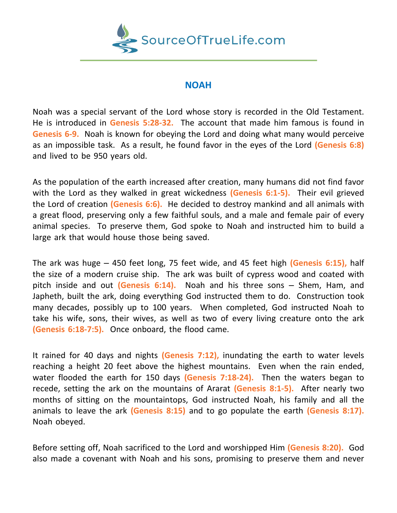

## **NOAH**

Noah was a special servant of the Lord whose story is recorded in the Old Testament. He is introduced in **Genesis 5:28-32.** The account that made him famous is found in **Genesis 6-9.** Noah is known for obeying the Lord and doing what many would perceive as an impossible task. As a result, he found favor in the eyes of the Lord **(Genesis 6:8)** and lived to be 950 years old.

As the population of the earth increased after creation, many humans did not find favor with the Lord as they walked in great wickedness **(Genesis 6:1-5).** Their evil grieved the Lord of creation **(Genesis 6:6).** He decided to destroy mankind and all animals with a great flood, preserving only a few faithful souls, and a male and female pair of every animal species. To preserve them, God spoke to Noah and instructed him to build a large ark that would house those being saved.

The ark was huge – 450 feet long, 75 feet wide, and 45 feet high **(Genesis 6:15),** half the size of a modern cruise ship. The ark was built of cypress wood and coated with pitch inside and out **(Genesis 6:14).** Noah and his three sons – Shem, Ham, and Japheth, built the ark, doing everything God instructed them to do. Construction took many decades, possibly up to 100 years. When completed, God instructed Noah to take his wife, sons, their wives, as well as two of every living creature onto the ark **(Genesis 6:18-7:5).** Once onboard, the flood came.

It rained for 40 days and nights **(Genesis 7:12),** inundating the earth to water levels reaching a height 20 feet above the highest mountains. Even when the rain ended, water flooded the earth for 150 days **(Genesis 7:18-24).** Then the waters began to recede, setting the ark on the mountains of Ararat **(Genesis 8:1-5).** After nearly two months of sitting on the mountaintops, God instructed Noah, his family and all the animals to leave the ark **(Genesis 8:15)** and to go populate the earth **(Genesis 8:17).** Noah obeyed.

Before setting off, Noah sacrificed to the Lord and worshipped Him **(Genesis 8:20).** God also made a covenant with Noah and his sons, promising to preserve them and never